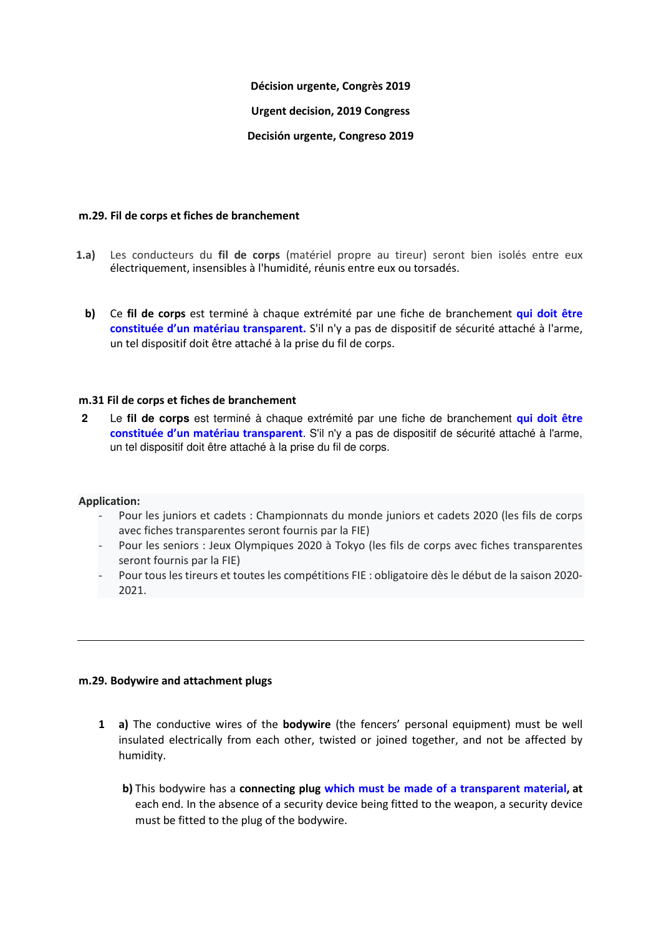## **Décision urgente, Congrès 2019**

# **Urgent decision, 2019 Congress**

# **Decisión urgente, Congreso 2019**

### **m.29. Fil de corps et fiches de branchement**

- **m.29.1.a)** Les conducteurs du **fil de corps** (matériel propre au tireur) seront bien isolés entre eux électriquement, insensibles à l'humidité, réunis entre eux ou torsadés.
- m.29.1**.b)** Ce **fil de corps** est terminé à chaque extrémité par une fiche de branchement **qui doit être constituée d'un matériau transparent.** S'il n'y a pas de dispositif de sécurité attaché à l'arme, un tel dispositif doit être attaché à la prise du fil de corps.

## **m.31 Fil de corps et fiches de branchement**

.**2** Le **fil de corps** est terminé à chaque extrémité par une fiche de branchement **qui doit être constituée d'un matériau transparent**. S'il n'y a pas de dispositif de sécurité attaché à l'arme, un tel dispositif doit être attaché à la prise du fil de corps.

#### **Application:**

- Pour les juniors et cadets : Championnats du monde juniors et cadets 2020 (les fils de corps avec fiches transparentes seront fournis par la FIE)
- Pour les seniors : Jeux Olympiques 2020 à Tokyo (les fils de corps avec fiches transparentes seront fournis par la FIE)
- Pour tous les tireurs et toutes les compétitions FIE : obligatoire dès le début de la saison 2020- 2021.

# **m.29. Bodywire and attachment plugs**

- **1 a)** The conductive wires of the **bodywire** (the fencers' personal equipment) must be well insulated electrically from each other, twisted or joined together, and not be affected by humidity.
	- **b)** This bodywire has a **connecting plug which must be made of a transparent material, at** each end. In the absence of a security device being fitted to the weapon, a security device must be fitted to the plug of the bodywire.